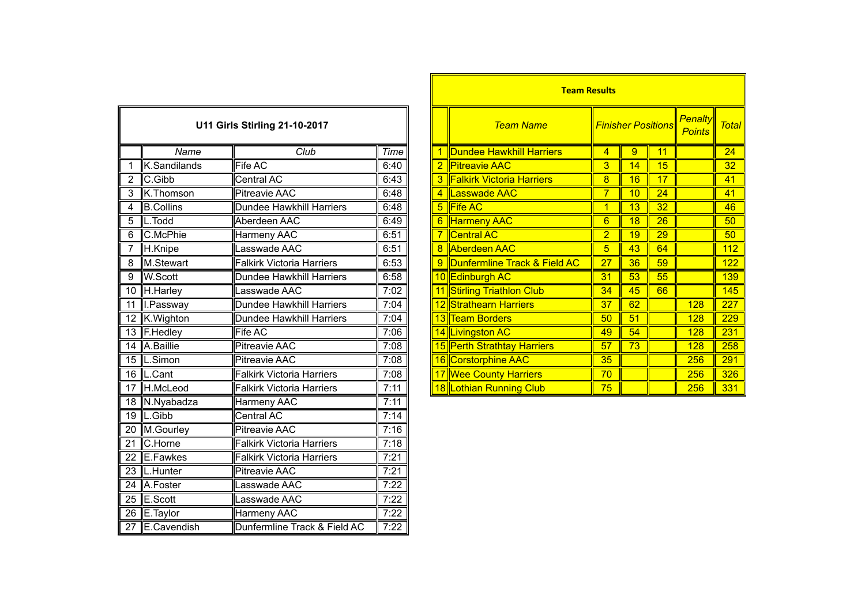| <b>U11 Girls Stirling 21-10-2017</b> |                  |                                  |      |  |  |
|--------------------------------------|------------------|----------------------------------|------|--|--|
|                                      | Name             | Club                             | Time |  |  |
| 1                                    | K.Sandilands     | <b>Fife AC</b>                   | 6:40 |  |  |
| $\overline{2}$                       | C.Gibb           | Central AC                       | 6:43 |  |  |
| $\overline{3}$                       | K.Thomson        | <b>Pitreavie AAC</b>             | 6:48 |  |  |
| $\overline{4}$                       | <b>B.Collins</b> | <b>Dundee Hawkhill Harriers</b>  | 6:48 |  |  |
| 5                                    | L.Todd           | Aberdeen AAC                     | 6:49 |  |  |
| 6                                    | C.McPhie         | <b>Harmeny AAC</b>               | 6:51 |  |  |
| 7                                    | H.Knipe          | Lasswade AAC                     | 6:51 |  |  |
| 8                                    | M.Stewart        | <b>Falkirk Victoria Harriers</b> | 6:53 |  |  |
| 9                                    | <b>W.Scott</b>   | Dundee Hawkhill Harriers         | 6:58 |  |  |
| $\overline{10}$                      | H.Harley         | Lasswade AAC                     | 7:02 |  |  |
| 11                                   | I.Passway        | Dundee Hawkhill Harriers         | 7:04 |  |  |
| $\overline{12}$                      | K. Wighton       | Dundee Hawkhill Harriers         | 7:04 |  |  |
| $\overline{13}$                      | F.Hedley         | Fife AC                          | 7:06 |  |  |
| 14                                   | A.Baillie        | <b>Pitreavie AAC</b>             | 7:08 |  |  |
| 15                                   | L.Simon          | <b>Pitreavie AAC</b>             | 7:08 |  |  |
| $\overline{16}$                      | L.Cant           | <b>Falkirk Victoria Harriers</b> | 7:08 |  |  |
| 17                                   | <b>H.McLeod</b>  | <b>Falkirk Victoria Harriers</b> | 7:11 |  |  |
| 18                                   | N.Nyabadza       | Harmeny AAC                      | 7:11 |  |  |
| 19                                   | L.Gibb           | Central AC                       | 7:14 |  |  |
| $\overline{20}$                      | M.Gourley        | <b>Pitreavie AAC</b>             | 7:16 |  |  |
| $\overline{21}$                      | C.Horne          | <b>Falkirk Victoria Harriers</b> | 7:18 |  |  |
| 22                                   | E.Fawkes         | <b>Falkirk Victoria Harriers</b> | 7:21 |  |  |
| $\overline{23}$                      | L.Hunter         | <b>Pitreavie AAC</b>             | 7:21 |  |  |
| 24                                   | A.Foster         | Lasswade AAC                     | 7:22 |  |  |
| $\overline{25}$                      | E.Scott          | Lasswade AAC                     | 7:22 |  |  |
| 26                                   | E.Taylor         | Harmeny AAC                      | 7:22 |  |  |
| $\overline{27}$                      | E.Cavendish      | Dunfermline Track & Field AC     | 7:22 |  |  |

|                                      |                            |                                  |             |                  | <b>Team Results</b>                |                |                                 |              |            |     |
|--------------------------------------|----------------------------|----------------------------------|-------------|------------------|------------------------------------|----------------|---------------------------------|--------------|------------|-----|
| <b>U11 Girls Stirling 21-10-2017</b> |                            |                                  |             | <b>Team Name</b> | <b>Finisher Positions</b>          |                | <b>Penalty</b><br><b>Points</b> | <b>Total</b> |            |     |
|                                      | Name                       | Club                             | <b>Time</b> |                  | Dundee Hawkhill Harriers           | 4              | 9                               | 11           |            | 24  |
|                                      | K.Sandilands               | Fife AC                          | 6:40        |                  | 2 Pitreavie AAC                    | 3              | 14                              | 15           |            | 32  |
| 2                                    | C.Gibb                     | Central AC                       | 6:43        |                  | <b>3 Falkirk Victoria Harriers</b> | 8              | 16                              | 17           |            | 41  |
| 3                                    | K.Thomson                  | <b>Pitreavie AAC</b>             | 6:48        |                  | 4 Lasswade AAC                     |                | 10                              | 24           |            | 41  |
| 4                                    | <b>B.Collins</b>           | Dundee Hawkhill Harriers         | 6:48        |                  | 5 Fife AC                          |                | 13                              | 32           |            | 46  |
| 5                                    | $\mathsf{L}.\mathsf{Todd}$ | Aberdeen AAC                     | 6:49        |                  | 6 Harmeny AAC                      | 6              | 18                              | 26           |            | 50  |
| 6                                    | C.McPhie                   | Harmeny AAC                      | 6:51        |                  | <b>Central AC</b>                  | $\overline{2}$ | 19                              | 29           |            | 50  |
|                                      | H.Knipe                    | Lasswade AAC                     | 6:51        |                  | 8 Aberdeen AAC                     | 5              | 43                              | 64           |            | 112 |
| $\overline{8}$                       | M.Stewart                  | <b>Falkirk Victoria Harriers</b> | 6:53        |                  | 9 Dunfermline Track & Field AC     | 27             | 36                              | 59           |            | 122 |
| $\overline{9}$                       | W.Scott                    | Dundee Hawkhill Harriers         | 6:58        |                  | 10 Edinburgh AC                    | 31             | 53                              | 55           |            | 139 |
|                                      | 10 H. Harley               | Lasswade AAC                     | 7:02        |                  | 11 Stirling Triathlon Club         | 34             | 45                              | 66           |            | 145 |
|                                      | 11 I.Passway               | Dundee Hawkhill Harriers         | 7:04        |                  | 12 Strathearn Harriers             | 37             | 62                              |              | 128        | 227 |
|                                      | 12 K. Wighton              | Dundee Hawkhill Harriers         | 7:04        |                  | 13 Team Borders                    | 50             | 51                              |              | <b>128</b> | 229 |
|                                      | 13 F.Hedley                | Fife AC                          | 7:06        |                  | 14 Livingston AC                   | 49             | 54                              |              | 128        | 231 |
|                                      | 14 A.Baillie               | <b>Pitreavie AAC</b>             | 7:08        |                  | 15 Perth Strathtay Harriers        | 57             | 73                              |              | 128        | 258 |
|                                      | 15  L.Simon                | <b>Pitreavie AAC</b>             | 7:08        |                  | 16 Corstorphine AAC                | 35             |                                 |              | 256        | 291 |
|                                      | 16  L.Cant                 | <b>Falkirk Victoria Harriers</b> | 7:08        |                  | 17 Wee County Harriers             | 70             |                                 |              | 256        | 326 |
|                                      | 17 H.McLeod                | <b>Falkirk Victoria Harriers</b> | 7:11        |                  | 18 Lothian Running Club            | 75             |                                 |              | 256        | 331 |
|                                      |                            |                                  |             |                  |                                    |                |                                 |              |            |     |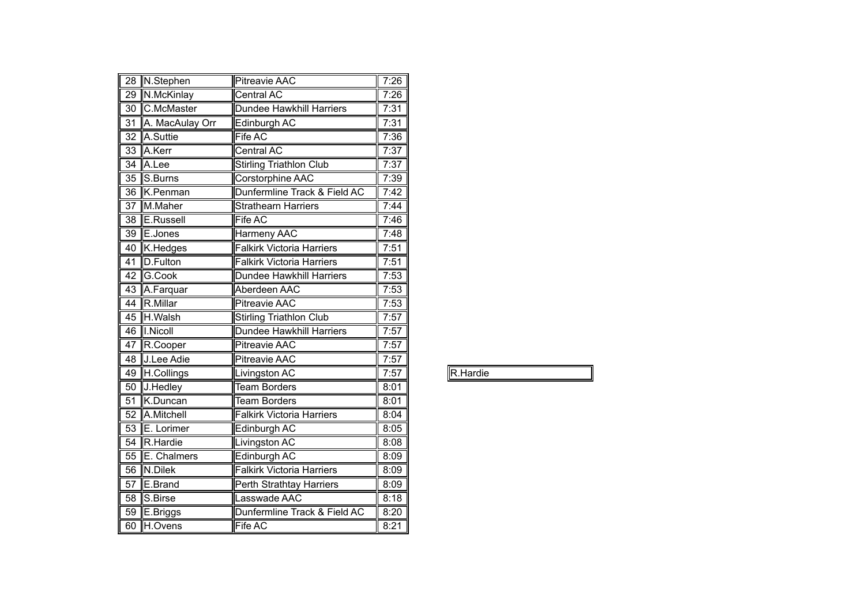| 28              | N.Stephen        | <b>Pitreavie AAC</b>             | 7:26 |
|-----------------|------------------|----------------------------------|------|
| 29              | N.McKinlay       | Central AC                       | 7:26 |
| 30              | C.McMaster       | Dundee Hawkhill Harriers         | 7:31 |
| 31              | A. MacAulay Orr  | Edinburgh AC                     | 7:31 |
| 32              | A.Suttie         | Fife AC                          | 7:36 |
| $\overline{33}$ | A.Kerr           | <b>Central AC</b>                | 7:37 |
| 34              | A.Lee            | <b>Stirling Triathlon Club</b>   | 7:37 |
| 35              | S.Burns          | Corstorphine AAC                 | 7:39 |
| 36              | K.Penman         | Dunfermline Track & Field AC     | 7:42 |
| $\overline{37}$ | M.Maher          | <b>Strathearn Harriers</b>       | 7:44 |
| $\overline{38}$ | <b>E.Russell</b> | <b>Fife AC</b>                   | 7:46 |
| 39              | E.Jones          | <b>Harmeny AAC</b>               | 7:48 |
| 40              | K.Hedges         | <b>Falkirk Victoria Harriers</b> | 7:51 |
| $\overline{41}$ | D.Fulton         | <b>Falkirk Victoria Harriers</b> | 7:51 |
| $\overline{42}$ | G.Cook           | <b>Dundee Hawkhill Harriers</b>  | 7:53 |
| 43              | A.Farquar        | Aberdeen AAC                     | 7:53 |
| 44              | R.Millar         | <b>Pitreavie AAC</b>             | 7:53 |
| 45              | H.Walsh          | <b>Stirling Triathlon Club</b>   | 7:57 |
| 46              | I.Nicoll         | <b>Dundee Hawkhill Harriers</b>  | 7:57 |
| 47              | R.Cooper         | <b>Pitreavie AAC</b>             | 7:57 |
| 48              | J.Lee Adie       | <b>Pitreavie AAC</b>             | 7:57 |
| 49              | H.Collings       | Livingston AC                    | 7:57 |
| $\overline{50}$ | J.Hedley         | <b>Team Borders</b>              | 8:01 |
| 51              | K.Duncan         | <b>Team Borders</b>              | 8:01 |
| $\overline{52}$ | A.Mitchell       | <b>Falkirk Victoria Harriers</b> | 8:04 |
| $\overline{53}$ | E. Lorimer       | Edinburgh AC                     | 8:05 |
| $\overline{54}$ | R.Hardie         | <b>Livingston AC</b>             | 8:08 |
| 55              | E. Chalmers      | Edinburgh AC                     | 8:09 |
| $\overline{56}$ | N.Dilek          | <b>Falkirk Victoria Harriers</b> | 8:09 |
| $\overline{57}$ | E.Brand          | <b>Perth Strathtay Harriers</b>  | 8:09 |
| 58              | S.Birse          | Lasswade AAC                     | 8:18 |
| 59              | E.Briggs         | Dunfermline Track & Field AC     | 8:20 |
| 60              | H.Ovens          | Fife AC                          | 8:21 |

| ardie     |  |  |
|-----------|--|--|
| $\ddotsc$ |  |  |